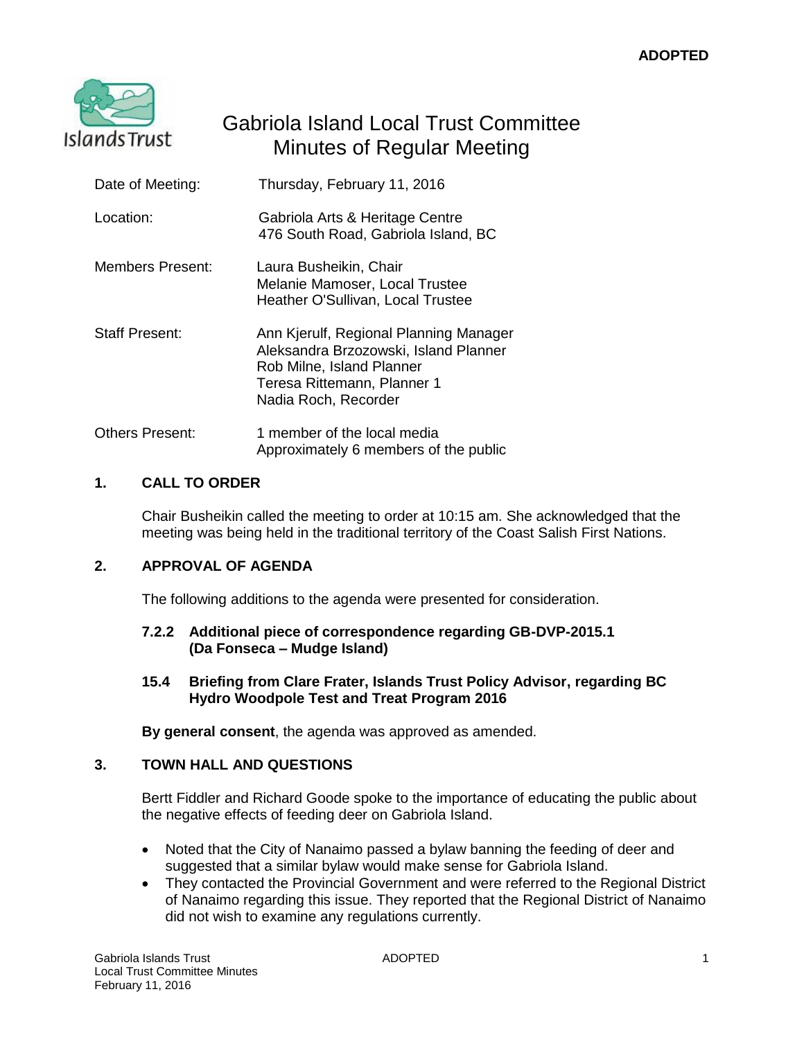

# Gabriola Island Local Trust Committee Minutes of Regular Meeting

| Date of Meeting:        | Thursday, February 11, 2016                                                                                                                                         |
|-------------------------|---------------------------------------------------------------------------------------------------------------------------------------------------------------------|
| Location:               | Gabriola Arts & Heritage Centre<br>476 South Road, Gabriola Island, BC                                                                                              |
| <b>Members Present:</b> | Laura Busheikin, Chair<br>Melanie Mamoser, Local Trustee<br>Heather O'Sullivan, Local Trustee                                                                       |
| Staff Present:          | Ann Kjerulf, Regional Planning Manager<br>Aleksandra Brzozowski, Island Planner<br>Rob Milne, Island Planner<br>Teresa Rittemann, Planner 1<br>Nadia Roch, Recorder |
| Others Present:         | 1 member of the local media<br>Approximately 6 members of the public                                                                                                |

# **1. CALL TO ORDER**

Chair Busheikin called the meeting to order at 10:15 am. She acknowledged that the meeting was being held in the traditional territory of the Coast Salish First Nations.

# **2. APPROVAL OF AGENDA**

The following additions to the agenda were presented for consideration.

### **7.2.2 Additional piece of correspondence regarding GB-DVP-2015.1 (Da Fonseca – Mudge Island)**

**15.4 Briefing from Clare Frater, Islands Trust Policy Advisor, regarding BC Hydro Woodpole Test and Treat Program 2016**

**By general consent**, the agenda was approved as amended.

# **3. TOWN HALL AND QUESTIONS**

Bertt Fiddler and Richard Goode spoke to the importance of educating the public about the negative effects of feeding deer on Gabriola Island.

- Noted that the City of Nanaimo passed a bylaw banning the feeding of deer and suggested that a similar bylaw would make sense for Gabriola Island.
- They contacted the Provincial Government and were referred to the Regional District of Nanaimo regarding this issue. They reported that the Regional District of Nanaimo did not wish to examine any regulations currently.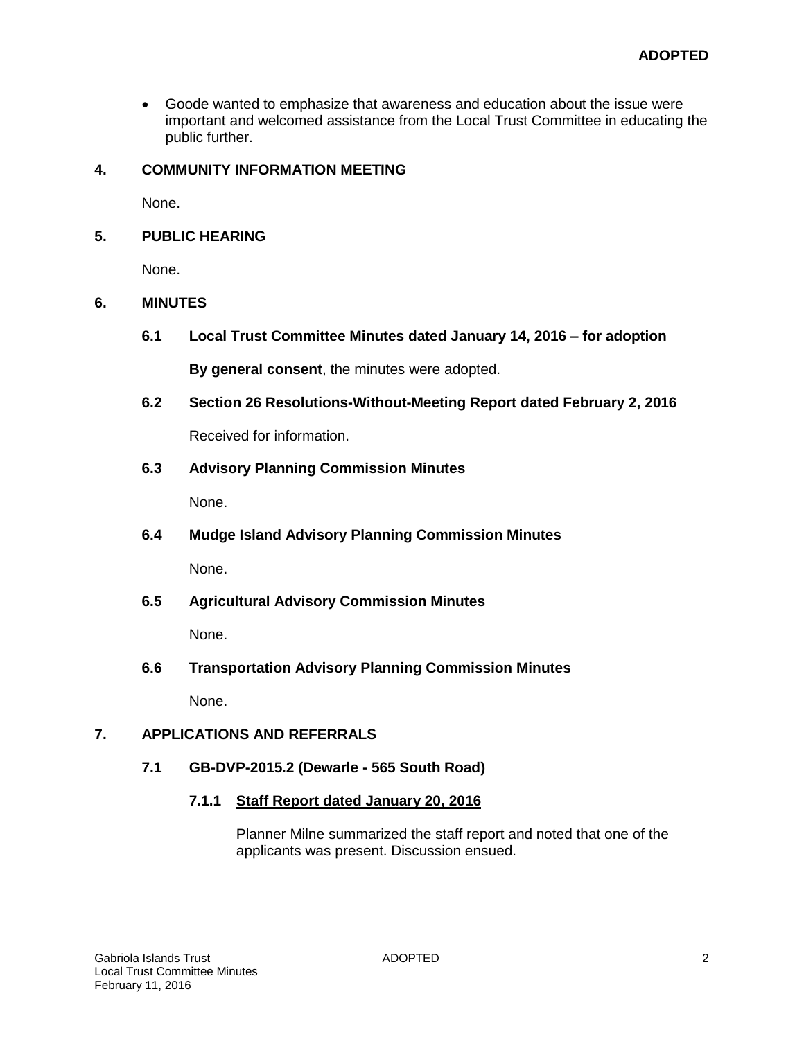Goode wanted to emphasize that awareness and education about the issue were important and welcomed assistance from the Local Trust Committee in educating the public further.

# **4. COMMUNITY INFORMATION MEETING**

None.

# **5. PUBLIC HEARING**

None.

# **6. MINUTES**

**6.1 Local Trust Committee Minutes dated January 14, 2016 – for adoption**

**By general consent**, the minutes were adopted.

**6.2 Section 26 Resolutions-Without-Meeting Report dated February 2, 2016** 

Received for information.

# **6.3 Advisory Planning Commission Minutes**

None.

**6.4 Mudge Island Advisory Planning Commission Minutes**

None.

**6.5 Agricultural Advisory Commission Minutes**

None.

**6.6 Transportation Advisory Planning Commission Minutes**

None.

# **7. APPLICATIONS AND REFERRALS**

### **7.1 GB-DVP-2015.2 (Dewarle - 565 South Road)**

**7.1.1 Staff Report dated January 20, 2016**

Planner Milne summarized the staff report and noted that one of the applicants was present. Discussion ensued.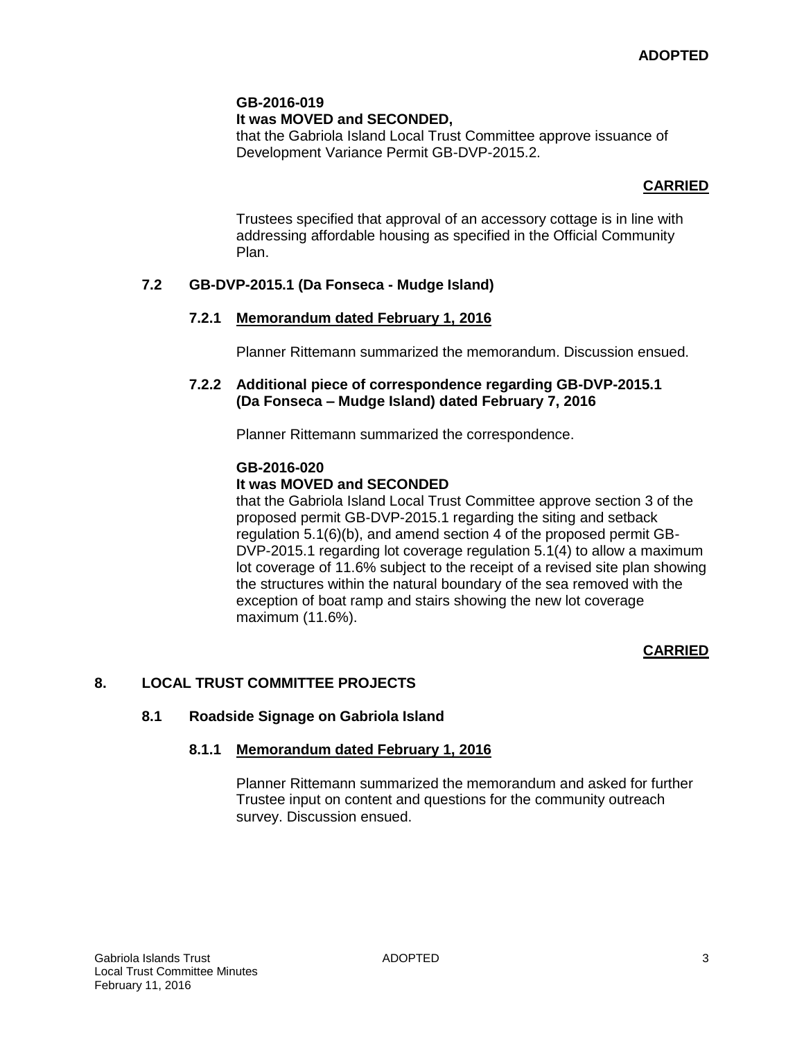# **It was MOVED and SECONDED,**

that the Gabriola Island Local Trust Committee approve issuance of Development Variance Permit GB-DVP-2015.2.

# **CARRIED**

Trustees specified that approval of an accessory cottage is in line with addressing affordable housing as specified in the Official Community Plan.

# **7.2 GB-DVP-2015.1 (Da Fonseca - Mudge Island)**

# **7.2.1 Memorandum dated February 1, 2016**

Planner Rittemann summarized the memorandum. Discussion ensued.

### **7.2.2 Additional piece of correspondence regarding GB-DVP-2015.1 (Da Fonseca – Mudge Island) dated February 7, 2016**

Planner Rittemann summarized the correspondence.

### **GB-2016-020**

# **It was MOVED and SECONDED**

that the Gabriola Island Local Trust Committee approve section 3 of the proposed permit GB-DVP-2015.1 regarding the siting and setback regulation 5.1(6)(b), and amend section 4 of the proposed permit GB-DVP-2015.1 regarding lot coverage regulation 5.1(4) to allow a maximum lot coverage of 11.6% subject to the receipt of a revised site plan showing the structures within the natural boundary of the sea removed with the exception of boat ramp and stairs showing the new lot coverage maximum (11.6%).

### **CARRIED**

# **8. LOCAL TRUST COMMITTEE PROJECTS**

### **8.1 Roadside Signage on Gabriola Island**

### **8.1.1 Memorandum dated February 1, 2016**

Planner Rittemann summarized the memorandum and asked for further Trustee input on content and questions for the community outreach survey. Discussion ensued.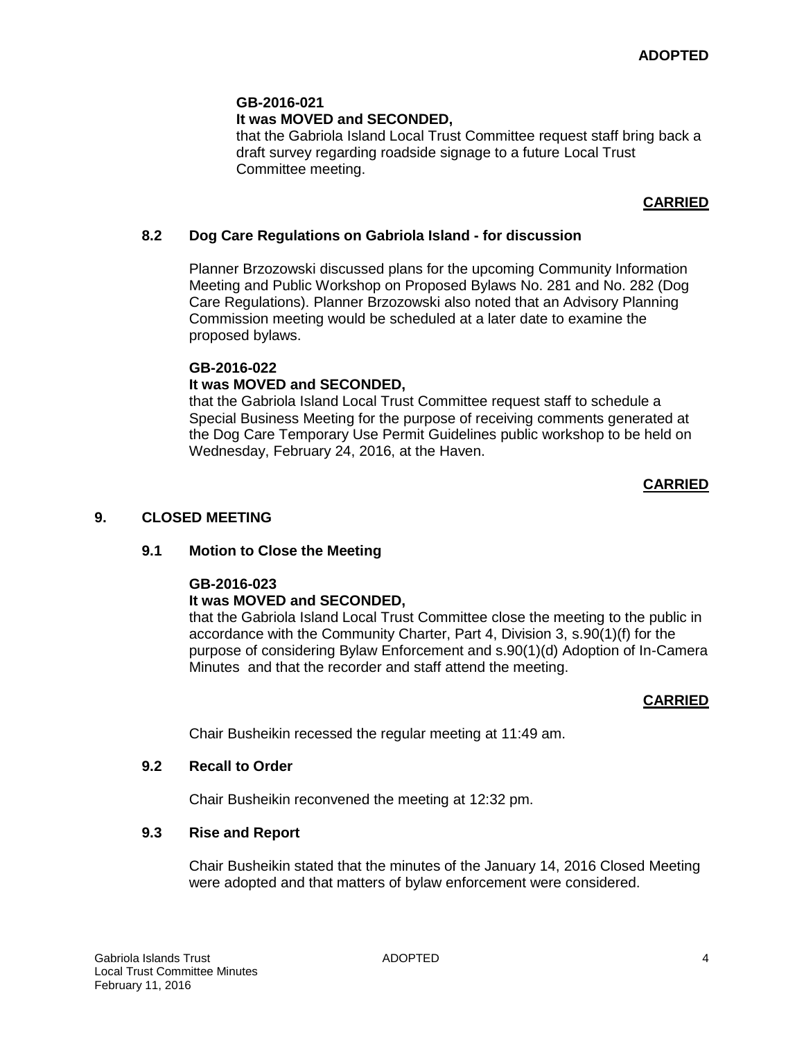### **It was MOVED and SECONDED,**

that the Gabriola Island Local Trust Committee request staff bring back a draft survey regarding roadside signage to a future Local Trust Committee meeting.

# **CARRIED**

### **8.2 Dog Care Regulations on Gabriola Island - for discussion**

Planner Brzozowski discussed plans for the upcoming Community Information Meeting and Public Workshop on Proposed Bylaws No. 281 and No. 282 (Dog Care Regulations). Planner Brzozowski also noted that an Advisory Planning Commission meeting would be scheduled at a later date to examine the proposed bylaws.

### **GB-2016-022**

### **It was MOVED and SECONDED,**

that the Gabriola Island Local Trust Committee request staff to schedule a Special Business Meeting for the purpose of receiving comments generated at the Dog Care Temporary Use Permit Guidelines public workshop to be held on Wednesday, February 24, 2016, at the Haven.

### **CARRIED**

### **9. CLOSED MEETING**

#### **9.1 Motion to Close the Meeting**

#### **GB-2016-023**

### **It was MOVED and SECONDED,**

that the Gabriola Island Local Trust Committee close the meeting to the public in accordance with the Community Charter, Part 4, Division 3, s.90(1)(f) for the purpose of considering Bylaw Enforcement and s.90(1)(d) Adoption of In-Camera Minutes and that the recorder and staff attend the meeting.

#### **CARRIED**

Chair Busheikin recessed the regular meeting at 11:49 am.

#### **9.2 Recall to Order**

Chair Busheikin reconvened the meeting at 12:32 pm.

#### **9.3 Rise and Report**

Chair Busheikin stated that the minutes of the January 14, 2016 Closed Meeting were adopted and that matters of bylaw enforcement were considered.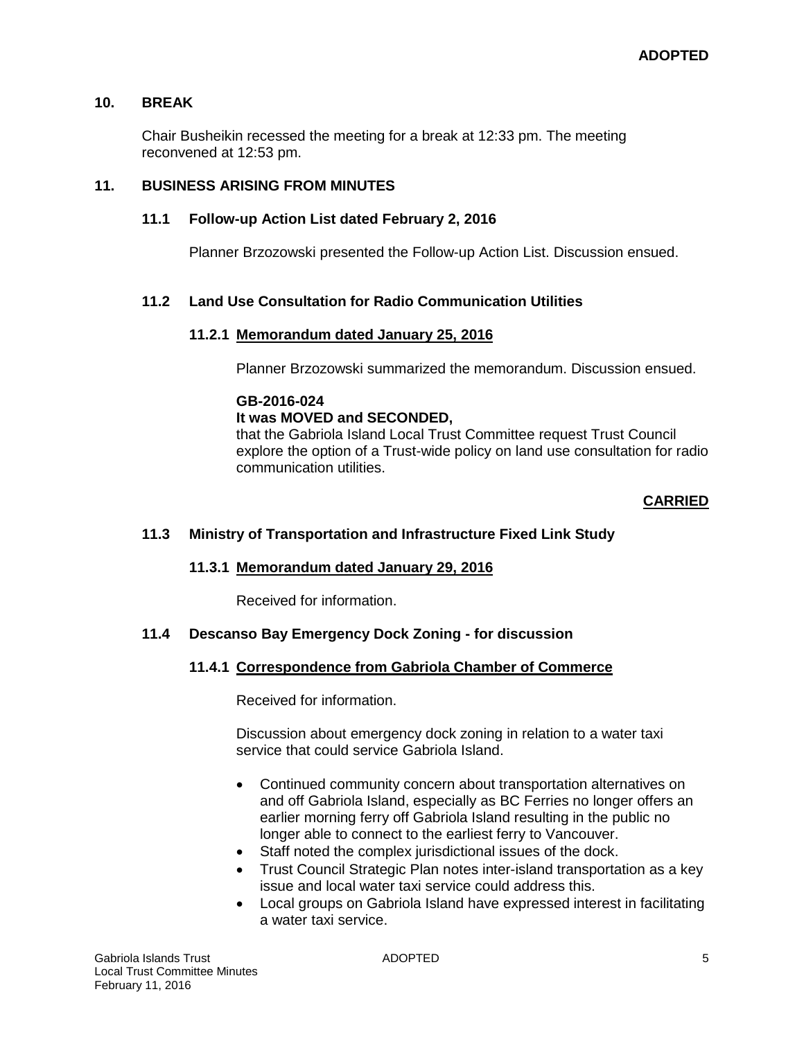# **10. BREAK**

Chair Busheikin recessed the meeting for a break at 12:33 pm. The meeting reconvened at 12:53 pm.

# **11. BUSINESS ARISING FROM MINUTES**

# **11.1 Follow-up Action List dated February 2, 2016**

Planner Brzozowski presented the Follow-up Action List. Discussion ensued.

# **11.2 Land Use Consultation for Radio Communication Utilities**

### **11.2.1 Memorandum dated January 25, 2016**

Planner Brzozowski summarized the memorandum. Discussion ensued.

### **GB-2016-024**

# **It was MOVED and SECONDED,**

that the Gabriola Island Local Trust Committee requestTrust Council explore the option of a Trust-wide policy on land use consultation for radio communication utilities.

### **CARRIED**

### **11.3 Ministry of Transportation and Infrastructure Fixed Link Study**

### **11.3.1 Memorandum dated January 29, 2016**

Received for information.

### **11.4 Descanso Bay Emergency Dock Zoning - for discussion**

### **11.4.1 Correspondence from Gabriola Chamber of Commerce**

Received for information.

Discussion about emergency dock zoning in relation to a water taxi service that could service Gabriola Island.

- Continued community concern about transportation alternatives on and off Gabriola Island, especially as BC Ferries no longer offers an earlier morning ferry off Gabriola Island resulting in the public no longer able to connect to the earliest ferry to Vancouver.
- Staff noted the complex jurisdictional issues of the dock.
- Trust Council Strategic Plan notes inter-island transportation as a key issue and local water taxi service could address this.
- Local groups on Gabriola Island have expressed interest in facilitating a water taxi service.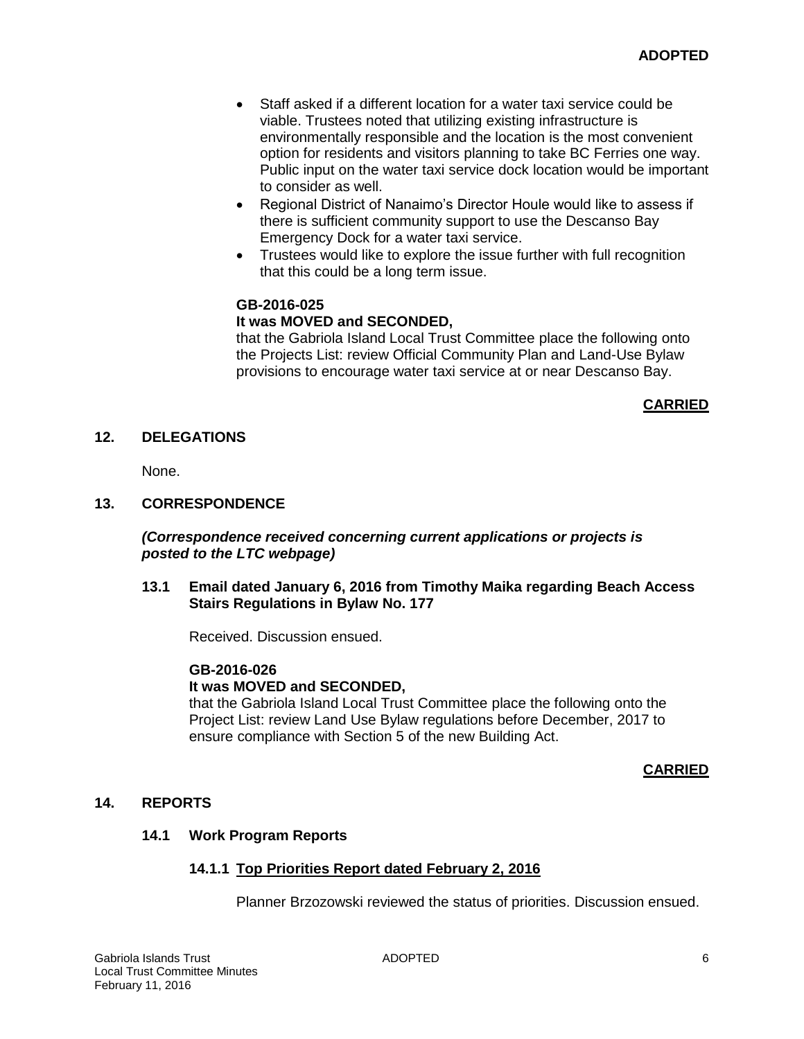- Staff asked if a different location for a water taxi service could be viable. Trustees noted that utilizing existing infrastructure is environmentally responsible and the location is the most convenient option for residents and visitors planning to take BC Ferries one way. Public input on the water taxi service dock location would be important to consider as well.
- Regional District of Nanaimo's Director Houle would like to assess if there is sufficient community support to use the Descanso Bay Emergency Dock for a water taxi service.
- Trustees would like to explore the issue further with full recognition that this could be a long term issue.

### **It was MOVED and SECONDED,**

that the Gabriola Island Local Trust Committee place the following onto the Projects List: review Official Community Plan and Land-Use Bylaw provisions to encourage water taxi service at or near Descanso Bay.

### **CARRIED**

### **12. DELEGATIONS**

None.

#### **13. CORRESPONDENCE**

### *(Correspondence received concerning current applications or projects is posted to the LTC webpage)*

#### **13.1 Email dated January 6, 2016 from Timothy Maika regarding Beach Access Stairs Regulations in Bylaw No. 177**

Received. Discussion ensued.

#### **GB-2016-026**

### **It was MOVED and SECONDED,**

that the Gabriola Island Local Trust Committee place the following onto the Project List: review Land Use Bylaw regulations before December, 2017 to ensure compliance with Section 5 of the new Building Act.

#### **CARRIED**

#### **14. REPORTS**

#### **14.1 Work Program Reports**

### **14.1.1 Top Priorities Report dated February 2, 2016**

Planner Brzozowski reviewed the status of priorities. Discussion ensued.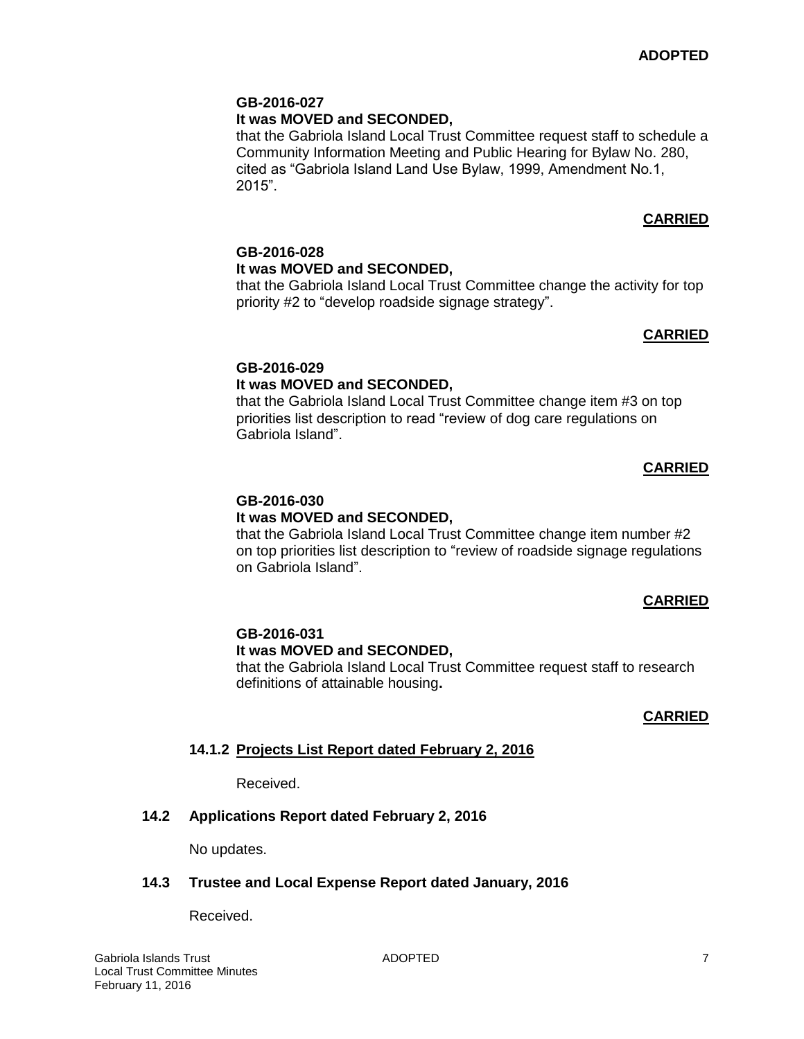# **It was MOVED and SECONDED,**

that the Gabriola Island Local Trust Committee request staff to schedule a Community Information Meeting and Public Hearing for Bylaw No. 280, cited as "Gabriola Island Land Use Bylaw, 1999, Amendment No.1, 2015".

# **CARRIED**

# **GB-2016-028**

# **It was MOVED and SECONDED,**

that the Gabriola Island Local Trust Committee change the activity for top priority #2 to "develop roadside signage strategy".

# **CARRIED**

# **GB-2016-029**

# **It was MOVED and SECONDED,**

that the Gabriola Island Local Trust Committee change item #3 on top priorities list description to read "review of dog care regulations on Gabriola Island".

# **CARRIED**

#### **GB-2016-030 It was MOVED and SECONDED,**

that the Gabriola Island Local Trust Committee change item number #2 on top priorities list description to "review of roadside signage regulations on Gabriola Island".

### **CARRIED**

# **GB-2016-031**

# **It was MOVED and SECONDED,**

that the Gabriola Island Local Trust Committee request staff to research definitions of attainable housing**.**

### **CARRIED**

# **14.1.2 Projects List Report dated February 2, 2016**

Received.

# **14.2 Applications Report dated February 2, 2016**

No updates.

### **14.3 Trustee and Local Expense Report dated January, 2016**

Received.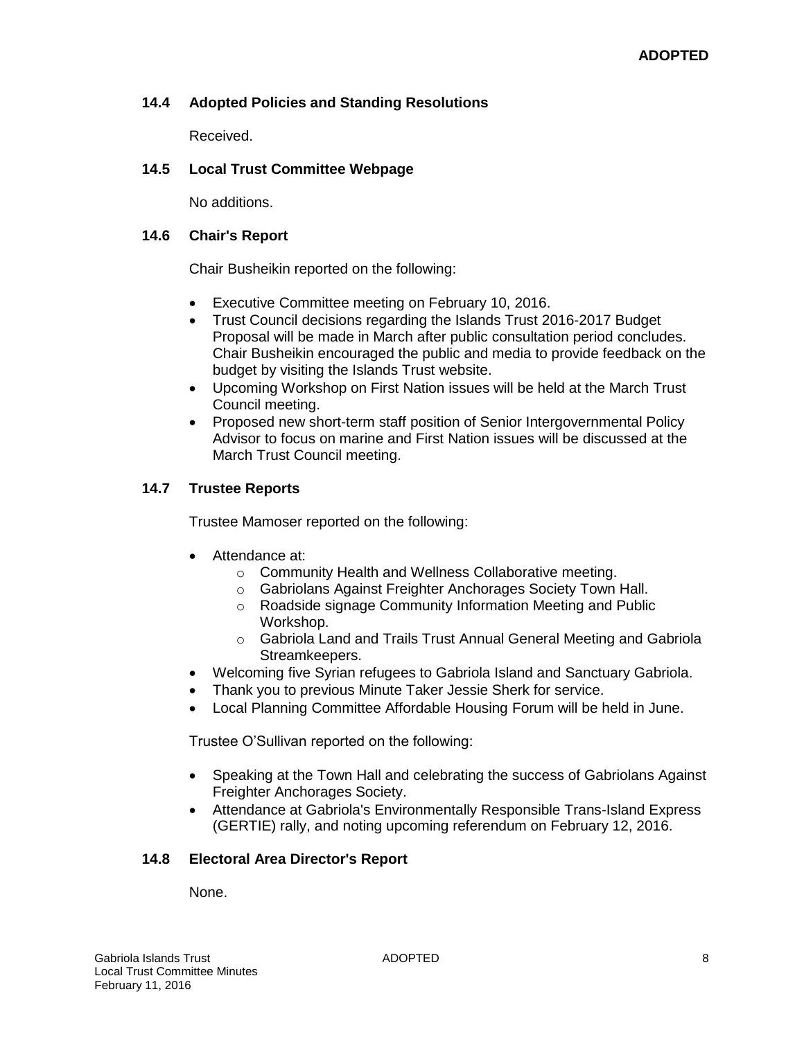# **14.4 Adopted Policies and Standing Resolutions**

Received.

# **14.5 Local Trust Committee Webpage**

No additions.

# **14.6 Chair's Report**

Chair Busheikin reported on the following:

- Executive Committee meeting on February 10, 2016.
- Trust Council decisions regarding the Islands Trust 2016-2017 Budget Proposal will be made in March after public consultation period concludes. Chair Busheikin encouraged the public and media to provide feedback on the budget by visiting the Islands Trust website.
- Upcoming Workshop on First Nation issues will be held at the March Trust Council meeting.
- Proposed new short-term staff position of Senior Intergovernmental Policy Advisor to focus on marine and First Nation issues will be discussed at the March Trust Council meeting.

# **14.7 Trustee Reports**

Trustee Mamoser reported on the following:

- Attendance at:
	- o Community Health and Wellness Collaborative meeting.
	- o Gabriolans Against Freighter Anchorages Society Town Hall.
	- o Roadside signage Community Information Meeting and Public Workshop.
	- o Gabriola Land and Trails Trust Annual General Meeting and Gabriola Streamkeepers.
- Welcoming five Syrian refugees to Gabriola Island and Sanctuary Gabriola.
- Thank you to previous Minute Taker Jessie Sherk for service.
- Local Planning Committee Affordable Housing Forum will be held in June.

Trustee O'Sullivan reported on the following:

- Speaking at the Town Hall and celebrating the success of Gabriolans Against Freighter Anchorages Society.
- Attendance at Gabriola's Environmentally Responsible Trans-Island Express (GERTIE) rally, and noting upcoming referendum on February 12, 2016.

### **14.8 Electoral Area Director's Report**

None.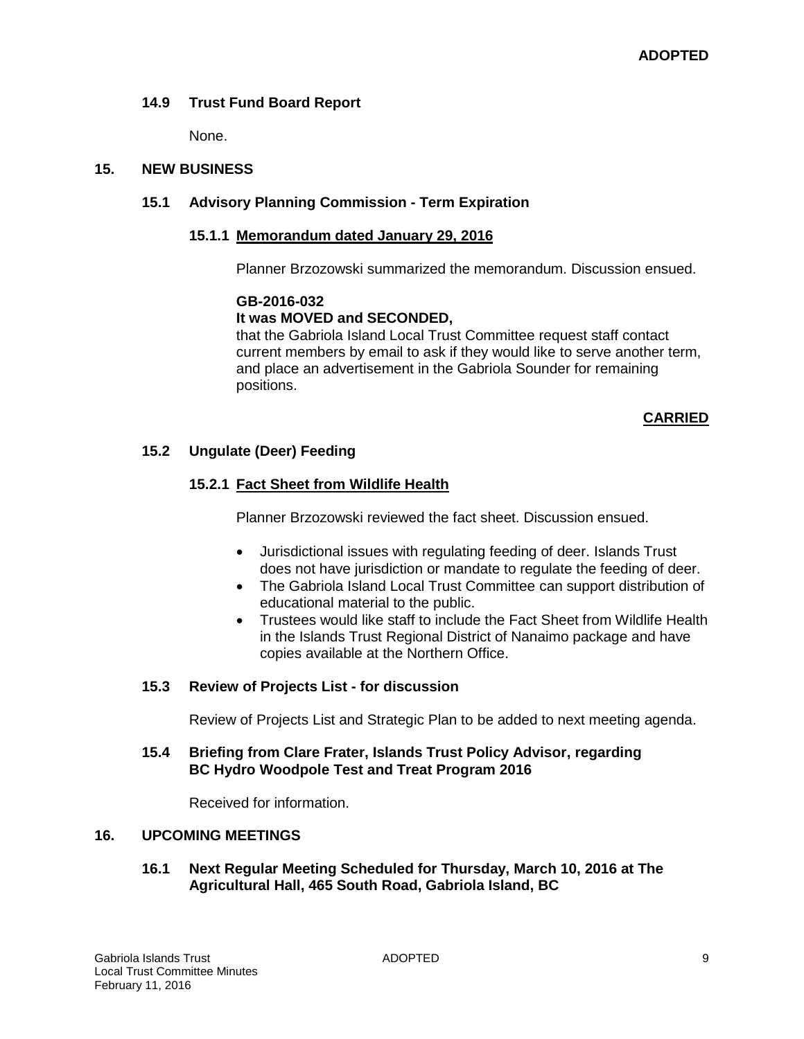# **14.9 Trust Fund Board Report**

None.

# **15. NEW BUSINESS**

# **15.1 Advisory Planning Commission - Term Expiration**

### **15.1.1 Memorandum dated January 29, 2016**

Planner Brzozowski summarized the memorandum. Discussion ensued.

### **GB-2016-032**

# **It was MOVED and SECONDED,**

that the Gabriola Island Local Trust Committee request staff contact current members by email to ask if they would like to serve another term, and place an advertisement in the Gabriola Sounder for remaining positions.

### **CARRIED**

# **15.2 Ungulate (Deer) Feeding**

# **15.2.1 Fact Sheet from Wildlife Health**

Planner Brzozowski reviewed the fact sheet. Discussion ensued.

- Jurisdictional issues with regulating feeding of deer. Islands Trust does not have jurisdiction or mandate to regulate the feeding of deer.
- The Gabriola Island Local Trust Committee can support distribution of educational material to the public.
- Trustees would like staff to include the Fact Sheet from Wildlife Health in the Islands Trust Regional District of Nanaimo package and have copies available at the Northern Office.

### **15.3 Review of Projects List - for discussion**

Review of Projects List and Strategic Plan to be added to next meeting agenda.

### **15.4 Briefing from Clare Frater, Islands Trust Policy Advisor, regarding BC Hydro Woodpole Test and Treat Program 2016**

Received for information.

### **16. UPCOMING MEETINGS**

**16.1 Next Regular Meeting Scheduled for Thursday, March 10, 2016 at The Agricultural Hall, 465 South Road, Gabriola Island, BC**